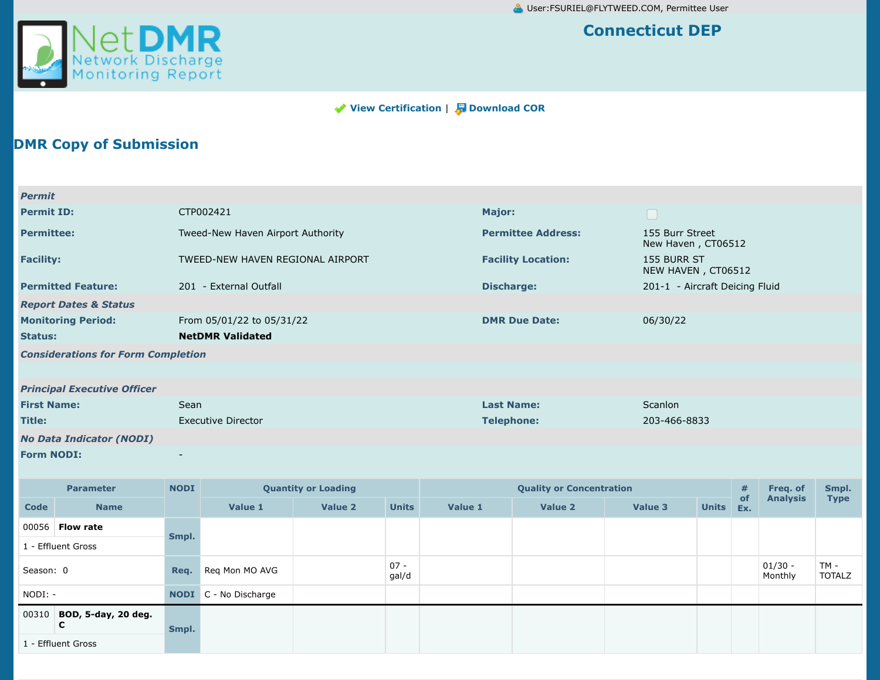

## **Connecticut DEP**

## **View [Certification](https://netdmr.epa.gov/netdmr-web/protected/view_cor.htm?_flowExecutionKey=e1s10&_eventId=viewCertification&from=certification)** | **J** [Download COR](https://netdmr.epa.gov/netdmr-web/protected/view_cor.htm?_flowExecutionKey=e1s10&_eventId=downloadCors&dmrIds=6438050@&viewOrder=0)

## **DMR Copy of Submission**

| Permit                                    |                                   |                           |                                       |
|-------------------------------------------|-----------------------------------|---------------------------|---------------------------------------|
| <b>Permit ID:</b>                         | CTP002421                         | Major:                    | $\Box$                                |
| <b>Permittee:</b>                         | Tweed-New Haven Airport Authority | <b>Permittee Address:</b> | 155 Burr Street<br>New Haven, CT06512 |
| <b>Facility:</b>                          | TWEED-NEW HAVEN REGIONAL AIRPORT  | <b>Facility Location:</b> | 155 BURR ST<br>NEW HAVEN, CT06512     |
| <b>Permitted Feature:</b>                 | 201 - External Outfall            | Discharge:                | 201-1 - Aircraft Deicing Fluid        |
| <b>Report Dates &amp; Status</b>          |                                   |                           |                                       |
| <b>Monitoring Period:</b>                 | From 05/01/22 to 05/31/22         | <b>DMR Due Date:</b>      | 06/30/22                              |
| <b>Status:</b>                            | <b>NetDMR Validated</b>           |                           |                                       |
| <b>Considerations for Form Completion</b> |                                   |                           |                                       |
|                                           |                                   |                           |                                       |
| <b>Principal Executive Officer</b>        |                                   |                           |                                       |
| <b>First Name:</b>                        | Sean                              | <b>Last Name:</b>         | Scanlon                               |
| Title:                                    | <b>Executive Director</b>         | <b>Telephone:</b>         | 203-466-8833                          |
| <b>No Data Indicator (NODI)</b>           |                                   |                           |                                       |
| <b>Form NODI:</b>                         | $\overline{\phantom{a}}$          |                           |                                       |

|             | <b>NODI</b><br><b>Quantity or Loading</b><br><b>Parameter</b> |       |                              |         | <b>Quality or Concentration</b> | #       | Freq. of | Smpl.   |              |           |                      |                       |
|-------------|---------------------------------------------------------------|-------|------------------------------|---------|---------------------------------|---------|----------|---------|--------------|-----------|----------------------|-----------------------|
| <b>Code</b> | <b>Name</b>                                                   |       | Value 1                      | Value 2 | <b>Units</b>                    | Value 1 | Value 2  | Value 3 | <b>Units</b> | of<br>Ex. | <b>Analysis</b>      | <b>Type</b>           |
|             | 00056 <b>Flow rate</b>                                        | Smpl. |                              |         |                                 |         |          |         |              |           |                      |                       |
|             | 1 - Effluent Gross                                            |       |                              |         |                                 |         |          |         |              |           |                      |                       |
| Season: 0   |                                                               | Req.  | Reg Mon MO AVG               |         | $07 -$<br>gal/d                 |         |          |         |              |           | $01/30 -$<br>Monthly | TM -<br><b>TOTALZ</b> |
| NODI: -     |                                                               |       | <b>NODI</b> C - No Discharge |         |                                 |         |          |         |              |           |                      |                       |
| 00310       | BOD, 5-day, 20 deg.<br>C                                      | Smpl. |                              |         |                                 |         |          |         |              |           |                      |                       |
|             | 1 - Effluent Gross                                            |       |                              |         |                                 |         |          |         |              |           |                      |                       |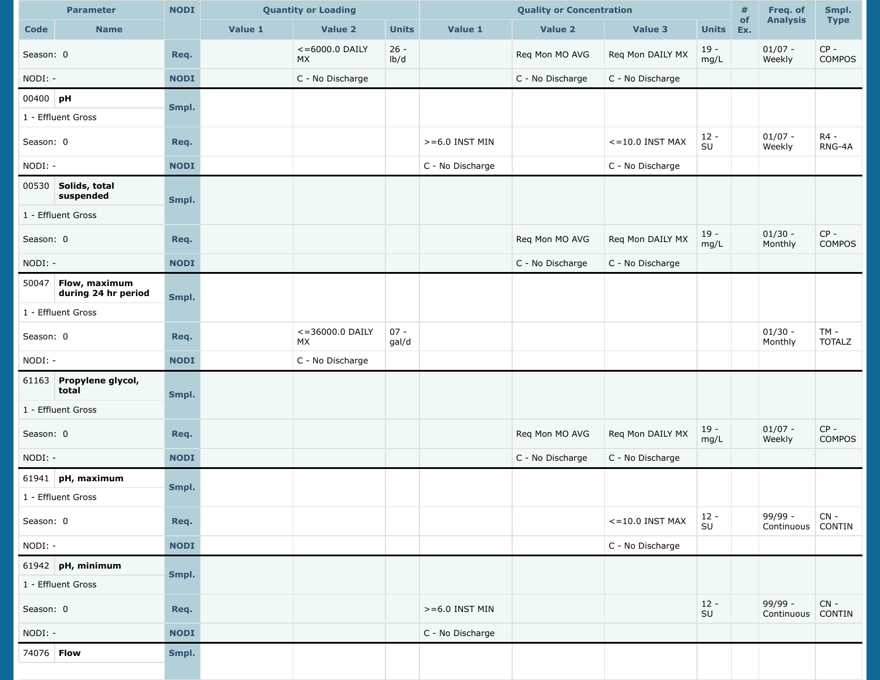|                   | <b>Parameter</b>                     | <b>NODI</b><br><b>Quantity or Loading</b> |         |                         |                 | <b>Quality or Concentration</b> |                  | #                 | Freq. of                | Smpl.     |                              |                         |
|-------------------|--------------------------------------|-------------------------------------------|---------|-------------------------|-----------------|---------------------------------|------------------|-------------------|-------------------------|-----------|------------------------------|-------------------------|
| <b>Code</b>       | <b>Name</b>                          |                                           | Value 1 | Value 2                 | <b>Units</b>    | Value 1                         | Value 2          | <b>Value 3</b>    | <b>Units</b>            | of<br>Ex. | <b>Analysis</b>              | <b>Type</b>             |
| Season: 0         |                                      | Req.                                      |         | $<=6000.0$ DAILY<br>MX. | $26 -$<br>lb/d  |                                 | Req Mon MO AVG   | Req Mon DAILY MX  | $19 -$<br>mg/L          |           | $01/07 -$<br>Weekly          | $CP -$<br><b>COMPOS</b> |
| NODI: -           |                                      | <b>NODI</b>                               |         | C - No Discharge        |                 |                                 | C - No Discharge | C - No Discharge  |                         |           |                              |                         |
| $00400$ pH        |                                      | Smpl.                                     |         |                         |                 |                                 |                  |                   |                         |           |                              |                         |
|                   | 1 - Effluent Gross                   |                                           |         |                         |                 |                                 |                  |                   |                         |           |                              |                         |
| Season: 0         |                                      | Req.                                      |         |                         |                 | $>= 6.0$ INST MIN               |                  | $<=10.0$ INST MAX | $12 -$<br>SU            |           | $01/07 -$<br>Weekly          | R4 -<br>RNG-4A          |
| NODI: -           |                                      | <b>NODI</b>                               |         |                         |                 | C - No Discharge                |                  | C - No Discharge  |                         |           |                              |                         |
|                   | 00530 Solids, total<br>suspended     | Smpl.                                     |         |                         |                 |                                 |                  |                   |                         |           |                              |                         |
|                   | 1 - Effluent Gross                   |                                           |         |                         |                 |                                 |                  |                   |                         |           |                              |                         |
| Season: 0         |                                      | Req.                                      |         |                         |                 |                                 | Req Mon MO AVG   | Req Mon DAILY MX  | $19 -$<br>mg/L          |           | $01/30 -$<br>Monthly         | $CP -$<br>COMPOS        |
| NODI: -           |                                      | <b>NODI</b>                               |         |                         |                 |                                 | C - No Discharge | C - No Discharge  |                         |           |                              |                         |
| 50047             | Flow, maximum<br>during 24 hr period | Smpl.                                     |         |                         |                 |                                 |                  |                   |                         |           |                              |                         |
|                   | 1 - Effluent Gross                   |                                           |         |                         |                 |                                 |                  |                   |                         |           |                              |                         |
| Season: 0         |                                      | Req.                                      |         | <= 36000.0 DAILY<br>MX  | $07 -$<br>gal/d |                                 |                  |                   |                         |           | $01/30 -$<br>Monthly         | $TM -$<br><b>TOTALZ</b> |
| NODI: -           |                                      | <b>NODI</b>                               |         | C - No Discharge        |                 |                                 |                  |                   |                         |           |                              |                         |
|                   | 61163 Propylene glycol,<br>total     | Smpl.                                     |         |                         |                 |                                 |                  |                   |                         |           |                              |                         |
|                   | 1 - Effluent Gross                   |                                           |         |                         |                 |                                 |                  |                   |                         |           |                              |                         |
| Season: 0         |                                      | Req.                                      |         |                         |                 |                                 | Req Mon MO AVG   | Req Mon DAILY MX  | $19 -$<br>mg/L          |           | $01/07 -$<br>Weekly          | $CP -$<br><b>COMPOS</b> |
| NODI: -           |                                      | <b>NODI</b>                               |         |                         |                 |                                 | C - No Discharge | C - No Discharge  |                         |           |                              |                         |
|                   | 61941 pH, maximum                    | Smpl.                                     |         |                         |                 |                                 |                  |                   |                         |           |                              |                         |
|                   | 1 - Effluent Gross                   |                                           |         |                         |                 |                                 |                  |                   |                         |           |                              |                         |
| Season: 0         |                                      | Req.                                      |         |                         |                 |                                 |                  | $<=10.0$ INST MAX | $12 -$<br>$\textsf{SU}$ |           | 99/99 -<br>Continuous CONTIN | $CN -$                  |
| NODI: -           |                                      | <b>NODI</b>                               |         |                         |                 |                                 |                  | C - No Discharge  |                         |           |                              |                         |
|                   | $61942$ pH, minimum                  |                                           |         |                         |                 |                                 |                  |                   |                         |           |                              |                         |
|                   | Smpl.<br>1 - Effluent Gross          |                                           |         |                         |                 |                                 |                  |                   |                         |           |                              |                         |
| Season: 0         |                                      | Req.                                      |         |                         |                 | $>= 6.0$ INST MIN               |                  |                   | $12 -$<br>$\textsf{SU}$ |           | $99/99 -$<br>Continuous      | $CN -$<br><b>CONTIN</b> |
| NODI: -           |                                      | <b>NODI</b>                               |         |                         |                 | C - No Discharge                |                  |                   |                         |           |                              |                         |
| 74076 <b>Flow</b> |                                      | Smpl.                                     |         |                         |                 |                                 |                  |                   |                         |           |                              |                         |